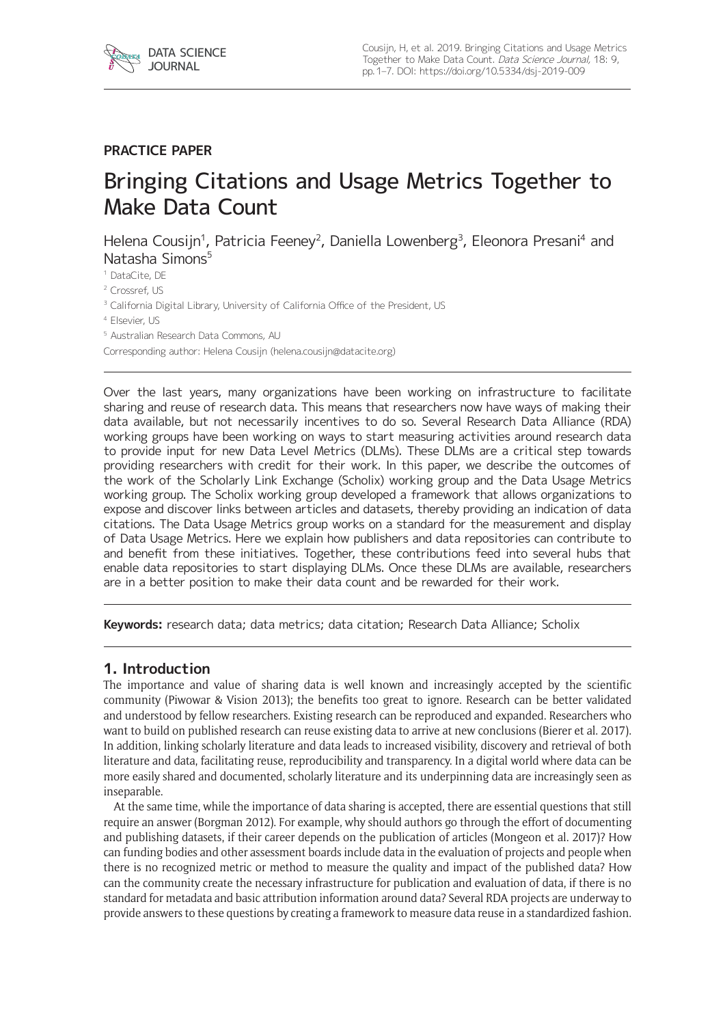

# **PRACTICE PAPER**

# Bringing Citations and Usage Metrics Together to Make Data Count

Helena Cousijn<sup>1</sup>, Patricia Feeney<sup>2</sup>, Daniella Lowenberg<sup>3</sup>, Eleonora Presani<sup>4</sup> and Natasha Simons<sup>5</sup>

<sup>1</sup> DataCite, DE

<sup>2</sup> Crossref, US

<sup>3</sup> California Digital Library, University of California Office of the President, US

<sup>4</sup> Elsevier, US

<sup>5</sup> Australian Research Data Commons, AU

Corresponding author: Helena Cousijn ([helena.cousijn@datacite.org](mailto:helena.cousijn@datacite.org))

Over the last years, many organizations have been working on infrastructure to facilitate sharing and reuse of research data. This means that researchers now have ways of making their data available, but not necessarily incentives to do so. Several Research Data Alliance (RDA) working groups have been working on ways to start measuring activities around research data to provide input for new Data Level Metrics (DLMs). These DLMs are a critical step towards providing researchers with credit for their work. In this paper, we describe the outcomes of the work of the Scholarly Link Exchange (Scholix) working group and the Data Usage Metrics working group. The Scholix working group developed a framework that allows organizations to expose and discover links between articles and datasets, thereby providing an indication of data citations. The Data Usage Metrics group works on a standard for the measurement and display of Data Usage Metrics. Here we explain how publishers and data repositories can contribute to and benefit from these initiatives. Together, these contributions feed into several hubs that enable data repositories to start displaying DLMs. Once these DLMs are available, researchers are in a better position to make their data count and be rewarded for their work.

**Keywords:** research data; data metrics; data citation; Research Data Alliance; Scholix

#### **1. Introduction**

The importance and value of sharing data is well known and increasingly accepted by the scientific community (Piwowar & Vision 2013); the benefits too great to ignore. Research can be better validated and understood by fellow researchers. Existing research can be reproduced and expanded. Researchers who want to build on published research can reuse existing data to arrive at new conclusions (Bierer et al. 2017). In addition, linking scholarly literature and data leads to increased visibility, discovery and retrieval of both literature and data, facilitating reuse, reproducibility and transparency. In a digital world where data can be more easily shared and documented, scholarly literature and its underpinning data are increasingly seen as inseparable.

At the same time, while the importance of data sharing is accepted, there are essential questions that still require an answer (Borgman 2012). For example, why should authors go through the effort of documenting and publishing datasets, if their career depends on the publication of articles (Mongeon et al. 2017)? How can funding bodies and other assessment boards include data in the evaluation of projects and people when there is no recognized metric or method to measure the quality and impact of the published data? How can the community create the necessary infrastructure for publication and evaluation of data, if there is no standard for metadata and basic attribution information around data? Several RDA projects are underway to provide answers to these questions by creating a framework to measure data reuse in a standardized fashion.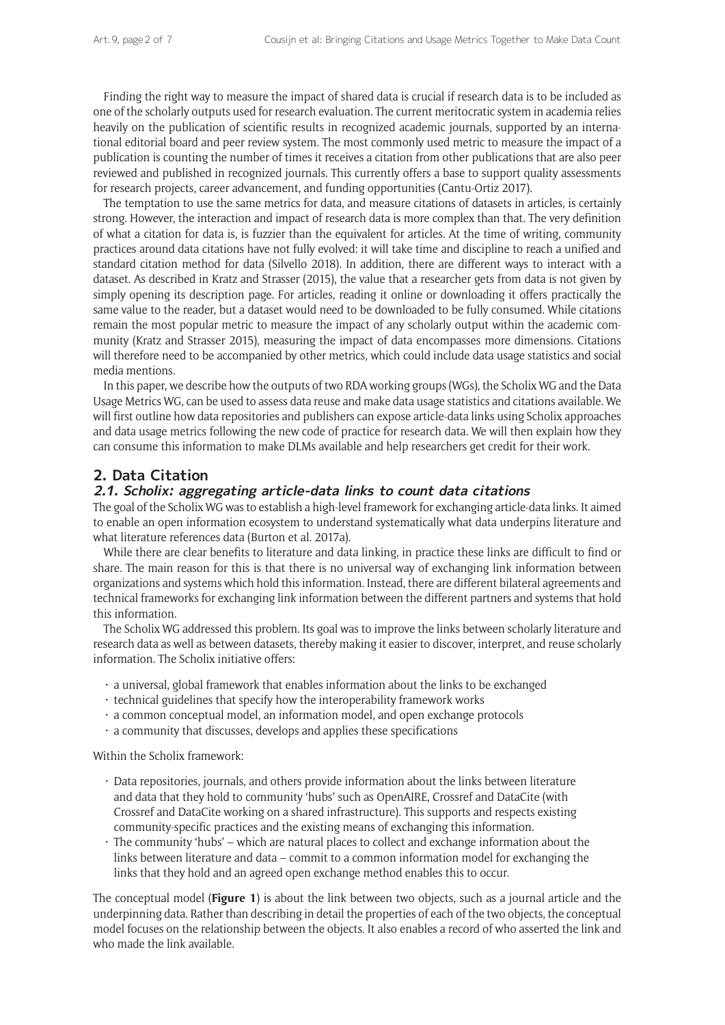Finding the right way to measure the impact of shared data is crucial if research data is to be included as one of the scholarly outputs used for research evaluation. The current meritocratic system in academia relies heavily on the publication of scientific results in recognized academic journals, supported by an international editorial board and peer review system. The most commonly used metric to measure the impact of a publication is counting the number of times it receives a citation from other publications that are also peer reviewed and published in recognized journals. This currently offers a base to support quality assessments for research projects, career advancement, and funding opportunities (Cantu-Ortiz 2017).

The temptation to use the same metrics for data, and measure citations of datasets in articles, is certainly strong. However, the interaction and impact of research data is more complex than that. The very definition of what a citation for data is, is fuzzier than the equivalent for articles. At the time of writing, community practices around data citations have not fully evolved: it will take time and discipline to reach a unified and standard citation method for data (Silvello 2018). In addition, there are different ways to interact with a dataset. As described in Kratz and Strasser (2015), the value that a researcher gets from data is not given by simply opening its description page. For articles, reading it online or downloading it offers practically the same value to the reader, but a dataset would need to be downloaded to be fully consumed. While citations remain the most popular metric to measure the impact of any scholarly output within the academic community (Kratz and Strasser 2015), measuring the impact of data encompasses more dimensions. Citations will therefore need to be accompanied by other metrics, which could include data usage statistics and social media mentions.

In this paper, we describe how the outputs of two RDA working groups (WGs), the Scholix WG and the Data Usage Metrics WG, can be used to assess data reuse and make data usage statistics and citations available. We will first outline how data repositories and publishers can expose article-data links using Scholix approaches and data usage metrics following the new code of practice for research data. We will then explain how they can consume this information to make DLMs available and help researchers get credit for their work.

## **2. Data Citation**

#### **2.1. Scholix: aggregating article-data links to count data citations**

The goal of the Scholix WG was to establish a high-level framework for exchanging article-data links. It aimed to enable an open information ecosystem to understand systematically what data underpins literature and what literature references data (Burton et al. 2017a).

While there are clear benefits to literature and data linking, in practice these links are difficult to find or share. The main reason for this is that there is no universal way of exchanging link information between organizations and systems which hold this information. Instead, there are different bilateral agreements and technical frameworks for exchanging link information between the different partners and systems that hold this information.

The Scholix WG addressed this problem. Its goal was to improve the links between scholarly literature and research data as well as between datasets, thereby making it easier to discover, interpret, and reuse scholarly information. The Scholix initiative offers:

- $\cdot$  a universal, global framework that enables information about the links to be exchanged
- $\cdot$  technical guidelines that specify how the interoperability framework works
- a common conceptual model, an information model, and open exchange protocols
- $\cdot$  a community that discusses, develops and applies these specifications

Within the Scholix framework:

- • Data repositories, journals, and others provide information about the links between literature and data that they hold to community 'hubs' such as [OpenAIRE,](https://www.openaire.eu/) [Crossref](https://www.crossref.org/) and [DataCite](https://datacite.org/) (with Crossref and DataCite working on a shared infrastructure). This supports and respects existing community-specific practices and the existing means of exchanging this information.
- The community 'hubs' which are natural places to collect and exchange information about the links between literature and data – commit to a common information model for exchanging the links that they hold and an agreed open exchange method enables this to occur.

The conceptual model (**Figure 1**) is about the link between two objects, such as a journal article and the underpinning data. Rather than describing in detail the properties of each of the two objects, the conceptual model focuses on the relationship between the objects. It also enables a record of who asserted the link and who made the link available.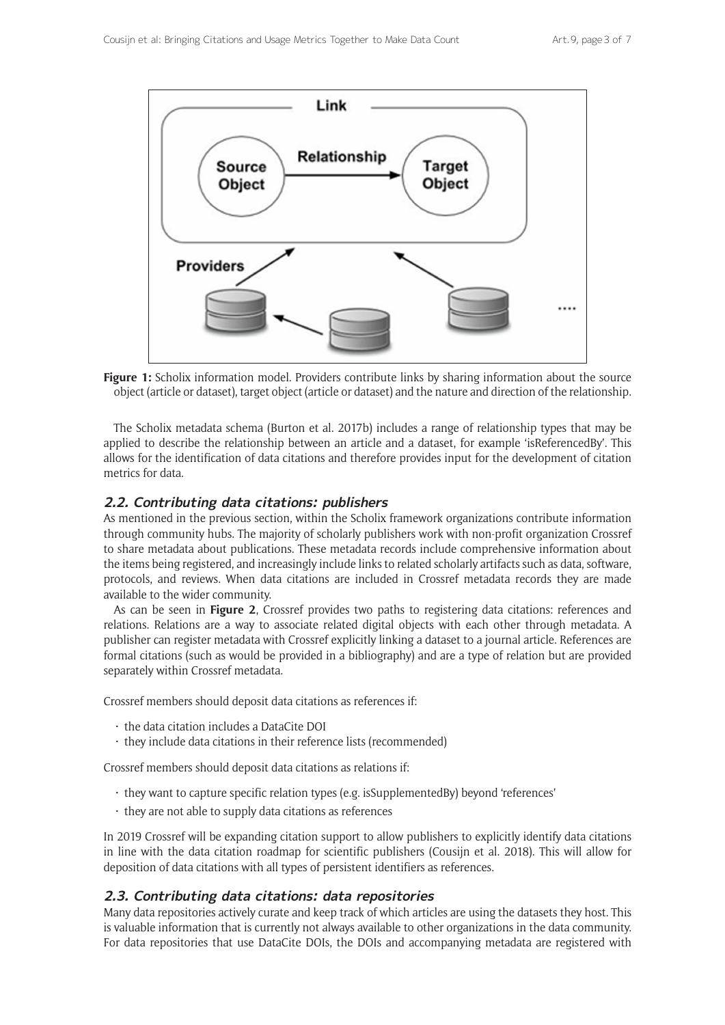

Figure 1: Scholix information model. Providers contribute links by sharing information about the source object (article or dataset), target object (article or dataset) and the nature and direction of the relationship.

The Scholix metadata schema (Burton et al. 2017b) includes a range of relationship types that may be applied to describe the relationship between an article and a dataset, for example 'isReferencedBy'. This allows for the identification of data citations and therefore provides input for the development of citation metrics for data.

## **2.2. Contributing data citations: publishers**

As mentioned in the previous section, within the Scholix framework organizations contribute information through community hubs. The majority of scholarly publishers work with non-profit organization Crossref to share metadata about publications. These metadata records include comprehensive information about the items being registered, and increasingly include links to related scholarly artifacts such as data, software, protocols, and reviews. When data citations are included in Crossref metadata records they are made available to the wider community.

As can be seen in **Figure 2**, Crossref provides two paths to registering data citations: references and relations. Relations are a way to associate related digital objects with each other through metadata. A publisher can register metadata with Crossref explicitly linking a dataset to a journal article. References are formal citations (such as would be provided in a bibliography) and are a type of relation but are provided separately within Crossref metadata.

Crossref members should deposit data citations as references if:

- the data citation includes a DataCite DOI
- $\cdot$  they include data citations in their reference lists (recommended)

Crossref members should deposit data citations as relations if:

- they want to capture specific relation types (e.g. isSupplementedBy) beyond 'references'
- $\cdot$  they are not able to supply data citations as references

In 2019 Crossref will be expanding citation support to allow publishers to explicitly identify data citations in line with the data citation roadmap for scientific publishers (Cousijn et al. 2018). This will allow for deposition of data citations with all types of persistent identifiers as references.

#### **2.3. Contributing data citations: data repositories**

Many data repositories actively curate and keep track of which articles are using the datasets they host. This is valuable information that is currently not always available to other organizations in the data community. For data repositories that use DataCite DOIs, the DOIs and accompanying metadata are registered with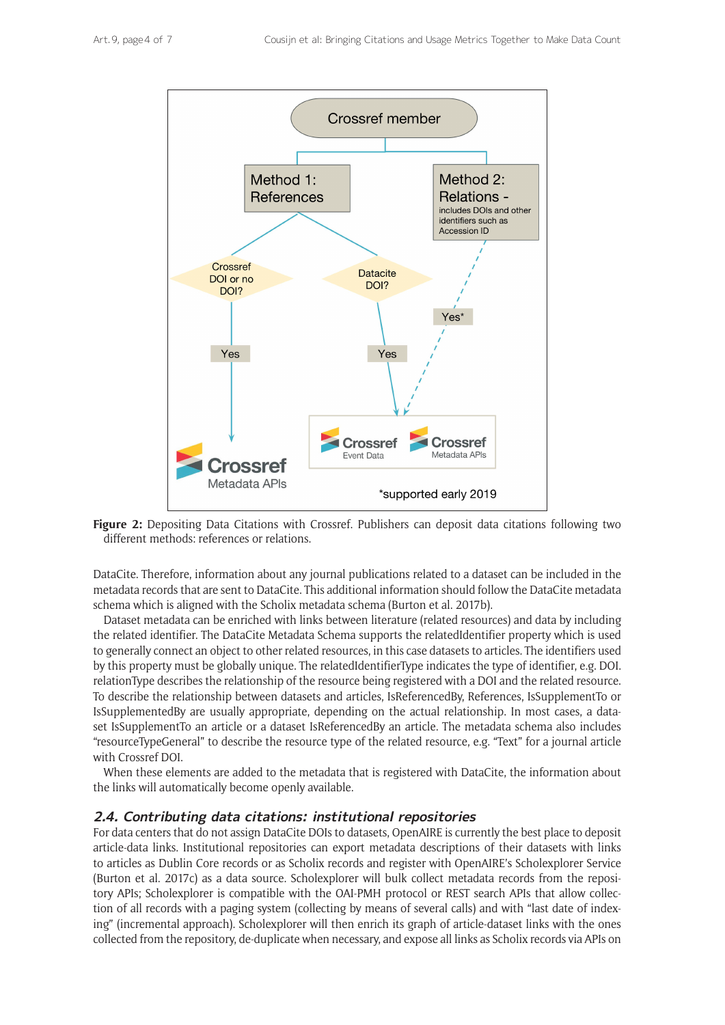

**Figure 2:** Depositing Data Citations with Crossref. Publishers can deposit data citations following two different methods: references or relations.

DataCite. Therefore, information about any journal publications related to a dataset can be included in the metadata records that are sent to DataCite. This additional information should follow the DataCite metadata schema which is aligned with the Scholix metadata schema (Burton et al. 2017b).

Dataset metadata can be enriched with links between literature (related resources) and data by including the related identifier. The DataCite Metadata Schema supports the relatedIdentifier property which is used to generally connect an object to other related resources, in this case datasets to articles. The identifiers used by this property must be globally unique. The relatedIdentifierType indicates the type of identifier, e.g. DOI. relationType describes the relationship of the resource being registered with a DOI and the related resource. To describe the relationship between datasets and articles, IsReferencedBy, References, IsSupplementTo or IsSupplementedBy are usually appropriate, depending on the actual relationship. In most cases, a dataset IsSupplementTo an article or a dataset IsReferencedBy an article. The metadata schema also includes "resourceTypeGeneral" to describe the resource type of the related resource, e.g. "Text" for a journal article with Crossref DOI.

When these elements are added to the metadata that is registered with DataCite, the information about the links will automatically become openly available.

#### **2.4. Contributing data citations: institutional repositories**

For data centers that do not assign DataCite DOIs to datasets, OpenAIRE is currently the best place to deposit article-data links. Institutional repositories can export metadata descriptions of their datasets with links to articles as Dublin Core records or as Scholix records and register with OpenAIRE's Scholexplorer Service (Burton et al. 2017c) as a data source. Scholexplorer will bulk collect metadata records from the repository APIs; Scholexplorer is compatible with the OAI-PMH protocol or REST search APIs that allow collection of all records with a paging system (collecting by means of several calls) and with "last date of indexing" (incremental approach). Scholexplorer will then enrich its graph of article-dataset links with the ones collected from the repository, de-duplicate when necessary, and expose all links as Scholix records via APIs on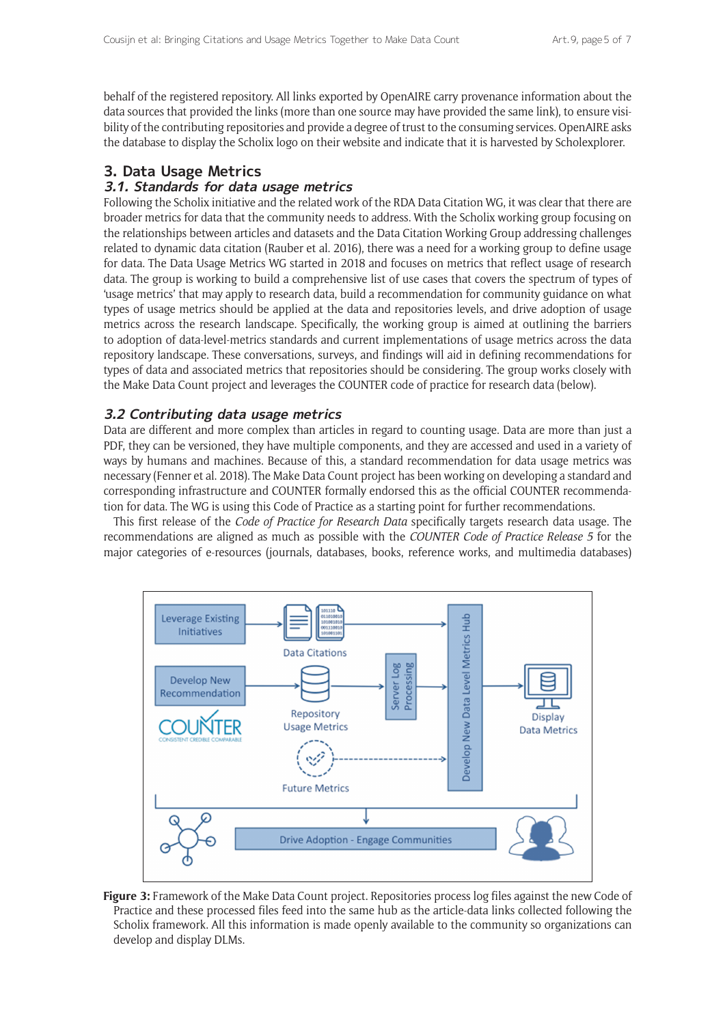behalf of the registered repository. All links exported by OpenAIRE carry provenance information about the data sources that provided the links (more than one source may have provided the same link), to ensure visibility of the contributing repositories and provide a degree of trust to the consuming services. OpenAIRE asks the database to display the Scholix logo on their website and indicate that it is harvested by Scholexplorer.

## **3. Data Usage Metrics**

#### **3.1. Standards for data usage metrics**

Following the Scholix initiative and the related work of the RDA Data Citation WG, it was clear that there are broader metrics for data that the community needs to address. With the Scholix working group focusing on the relationships between articles and datasets and the Data Citation Working Group addressing challenges related to dynamic data citation (Rauber et al. 2016), there was a need for a working group to define usage for data. The Data Usage Metrics WG started in 2018 and focuses on metrics that reflect usage of research data. The group is working to build a comprehensive list of use cases that covers the spectrum of types of 'usage metrics' that may apply to research data, build a recommendation for community guidance on what types of usage metrics should be applied at the data and repositories levels, and drive adoption of usage metrics across the research landscape. Specifically, the working group is aimed at outlining the barriers to adoption of data-level-metrics standards and current implementations of usage metrics across the data repository landscape. These conversations, surveys, and findings will aid in defining recommendations for types of data and associated metrics that repositories should be considering. The group works closely with the [Make Data Count](https://makedatacount.org/) project and leverages the COUNTER code of practice for research data (below).

## **3.2 Contributing data usage metrics**

Data are different and more complex than articles in regard to counting usage. Data are more than just a PDF, they can be versioned, they have multiple components, and they are accessed and used in a variety of ways by humans and machines. Because of this, a standard recommendation for data usage metrics was necessary (Fenner et al. 2018). The Make Data Count project has been working on developing a standard and corresponding infrastructure and COUNTER formally endorsed this as the official COUNTER recommendation for data. The WG is using this Code of Practice as a starting point for further recommendations.

This first release of the *[Code of Practice for Research Data](https://www.projectcounter.org/code-practice-research-data/)* specifically targets research data usage. The recommendations are aligned as much as possible with the *[COUNTER Code of Practice Release 5](https://www.projectcounter.org/code-of-practice-five-sections/abstract/)* for the major categories of e-resources (journals, databases, books, reference works, and multimedia databases)



**Figure 3:** Framework of the Make Data Count project. Repositories process log files against the new Code of Practice and these processed files feed into the same hub as the article-data links collected following the Scholix framework. All this information is made openly available to the community so organizations can develop and display DLMs.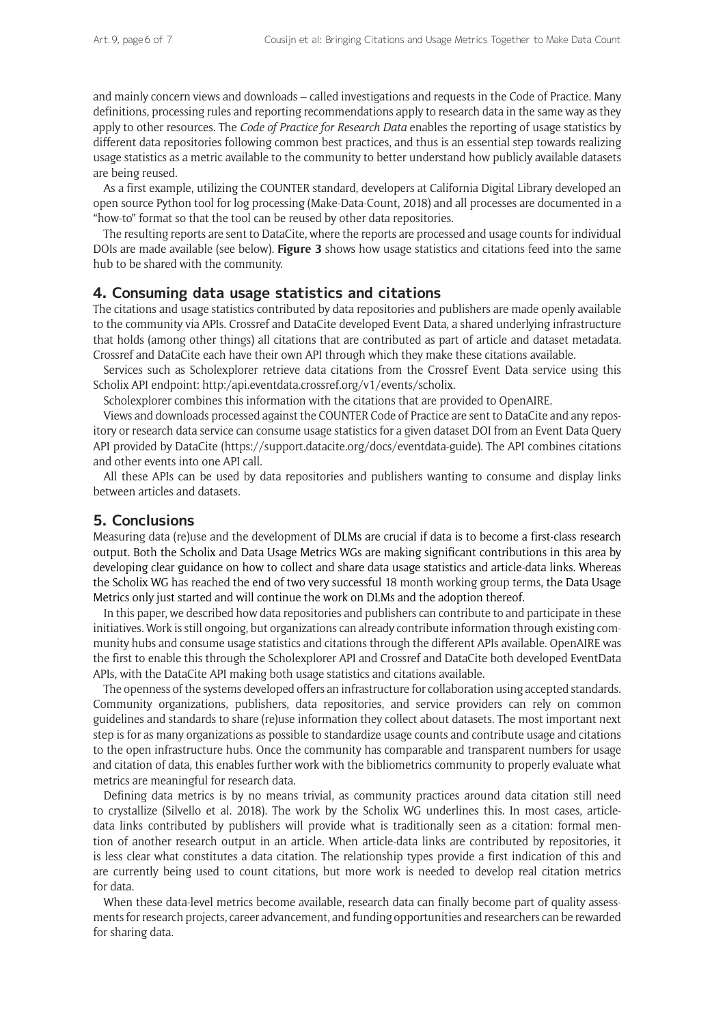and mainly concern views and downloads – called investigations and requests in the Code of Practice. Many definitions, processing rules and reporting recommendations apply to research data in the same way as they apply to other resources. The *Code of Practice for Research Data* enables the reporting of usage statistics by different data repositories following common best practices, and thus is an essential step towards realizing usage statistics as a metric available to the community to better understand how publicly available datasets are being reused.

As a first example, utilizing the COUNTER standard, developers at California Digital Library developed an open source Python tool for log processing (Make-Data-Count, 2018) and all processes are documented in a "how-to" format so that the tool can be reused by other data repositories.

The resulting reports are sent to DataCite, where the reports are processed and usage counts for individual DOIs are made available (see below). **Figure 3** shows how usage statistics and citations feed into the same hub to be shared with the community.

#### **4. Consuming data usage statistics and citations**

The citations and usage statistics contributed by data repositories and publishers are made openly available to the community via APIs. Crossref and DataCite developed Event Data, a shared underlying infrastructure that holds (among other things) all citations that are contributed as part of article and dataset metadata. Crossref and DataCite each have their own API through which they make these citations available.

Services such as [Scholexplorer](https://dliservice.research-infrastructures.eu/#/) retrieve data citations from the Crossref Event Data service using this Scholix API endpoint:<http:/api.eventdata.crossref.org/v1/events/scholix>.

Scholexplorer combines this information with the citations that are provided to OpenAIRE.

Views and downloads processed against the COUNTER Code of Practice are sent to DataCite and any repository or research data service can consume usage statistics for a given dataset DOI from an Event Data Query API provided by DataCite [\(https://support.datacite.org/docs/eventdata-guide\)](https://support.datacite.org/docs/eventdata-guide). The API combines citations and other events into one API call.

All these APIs can be used by data repositories and publishers wanting to consume and display links between articles and datasets.

#### **5. Conclusions**

Measuring data (re)use and the development of DLMs are crucial if data is to become a first-class research output. Both the Scholix and Data Usage Metrics WGs are making significant contributions in this area by developing clear guidance on how to collect and share data usage statistics and article-data links. Whereas the Scholix WG has reached the end of two very successful 18 month working group terms, the Data Usage Metrics only just started and will continue the work on DLMs and the adoption thereof.

In this paper, we described how data repositories and publishers can contribute to and participate in these initiatives. Work is still ongoing, but organizations can already contribute information through existing community hubs and consume usage statistics and citations through the different APIs available. OpenAIRE was the first to enable this through the [Scholexplorer](https://dliservice.research-infrastructures.eu/#/) API and Crossref and DataCite both developed [EventData](https://www.crossref.org/services/event-data/) [APIs](https://www.crossref.org/services/event-data/), with the DataCite API making both usage statistics and citations available.

The openness of the systems developed offers an infrastructure for collaboration using accepted standards. Community organizations, publishers, data repositories, and service providers can rely on common guidelines and standards to share (re)use information they collect about datasets. The most important next step is for as many organizations as possible to standardize usage counts and contribute usage and citations to the open infrastructure hubs. Once the community has comparable and transparent numbers for usage and citation of data, this enables further work with the bibliometrics community to properly evaluate what metrics are meaningful for research data.

Defining data metrics is by no means trivial, as community practices around data citation still need to crystallize (Silvello et al. 2018). The work by the Scholix WG underlines this. In most cases, articledata links contributed by publishers will provide what is traditionally seen as a citation: formal mention of another research output in an article. When article-data links are contributed by repositories, it is less clear what constitutes a data citation. The relationship types provide a first indication of this and are currently being used to count citations, but more work is needed to develop real citation metrics for data.

When these data-level metrics become available, research data can finally become part of quality assessments for research projects, career advancement, and funding opportunities and researchers can be rewarded for sharing data.